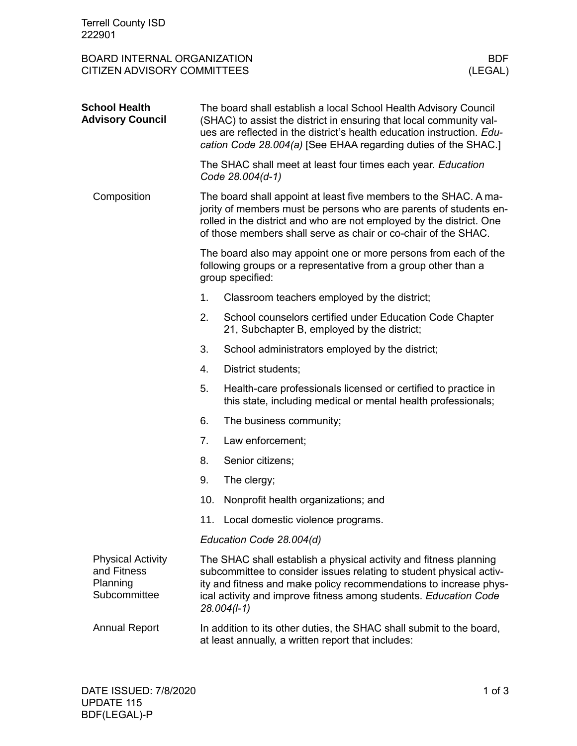| <b>Terrell County ISD</b><br>222901                                 |                                                                                                                                                                                                                                                                                                    |                                                                                                                                                                                                                                                                                 |                |  |
|---------------------------------------------------------------------|----------------------------------------------------------------------------------------------------------------------------------------------------------------------------------------------------------------------------------------------------------------------------------------------------|---------------------------------------------------------------------------------------------------------------------------------------------------------------------------------------------------------------------------------------------------------------------------------|----------------|--|
| <b>BOARD INTERNAL ORGANIZATION</b><br>CITIZEN ADVISORY COMMITTEES   |                                                                                                                                                                                                                                                                                                    |                                                                                                                                                                                                                                                                                 | BDF<br>(LEGAL) |  |
| <b>School Health</b><br><b>Advisory Council</b>                     | The board shall establish a local School Health Advisory Council<br>(SHAC) to assist the district in ensuring that local community val-<br>ues are reflected in the district's health education instruction. Edu-<br>cation Code 28.004(a) [See EHAA regarding duties of the SHAC.]                |                                                                                                                                                                                                                                                                                 |                |  |
|                                                                     | The SHAC shall meet at least four times each year. Education<br>Code 28.004(d-1)                                                                                                                                                                                                                   |                                                                                                                                                                                                                                                                                 |                |  |
| Composition                                                         |                                                                                                                                                                                                                                                                                                    | The board shall appoint at least five members to the SHAC. A ma-<br>jority of members must be persons who are parents of students en-<br>rolled in the district and who are not employed by the district. One<br>of those members shall serve as chair or co-chair of the SHAC. |                |  |
|                                                                     | The board also may appoint one or more persons from each of the<br>following groups or a representative from a group other than a<br>group specified:                                                                                                                                              |                                                                                                                                                                                                                                                                                 |                |  |
|                                                                     | 1.                                                                                                                                                                                                                                                                                                 | Classroom teachers employed by the district;                                                                                                                                                                                                                                    |                |  |
|                                                                     | 2.                                                                                                                                                                                                                                                                                                 | School counselors certified under Education Code Chapter<br>21, Subchapter B, employed by the district;                                                                                                                                                                         |                |  |
|                                                                     | 3.                                                                                                                                                                                                                                                                                                 | School administrators employed by the district;                                                                                                                                                                                                                                 |                |  |
|                                                                     | 4.                                                                                                                                                                                                                                                                                                 | District students;                                                                                                                                                                                                                                                              |                |  |
|                                                                     | 5.                                                                                                                                                                                                                                                                                                 | Health-care professionals licensed or certified to practice in<br>this state, including medical or mental health professionals;                                                                                                                                                 |                |  |
|                                                                     | 6.                                                                                                                                                                                                                                                                                                 | The business community;                                                                                                                                                                                                                                                         |                |  |
|                                                                     | 7.                                                                                                                                                                                                                                                                                                 | Law enforcement;                                                                                                                                                                                                                                                                |                |  |
|                                                                     | 8.                                                                                                                                                                                                                                                                                                 | Senior citizens;                                                                                                                                                                                                                                                                |                |  |
|                                                                     | 9.                                                                                                                                                                                                                                                                                                 | The clergy;                                                                                                                                                                                                                                                                     |                |  |
|                                                                     | 10.                                                                                                                                                                                                                                                                                                | Nonprofit health organizations; and                                                                                                                                                                                                                                             |                |  |
|                                                                     | 11.                                                                                                                                                                                                                                                                                                | Local domestic violence programs.                                                                                                                                                                                                                                               |                |  |
|                                                                     |                                                                                                                                                                                                                                                                                                    | Education Code 28.004(d)                                                                                                                                                                                                                                                        |                |  |
| <b>Physical Activity</b><br>and Fitness<br>Planning<br>Subcommittee | The SHAC shall establish a physical activity and fitness planning<br>subcommittee to consider issues relating to student physical activ-<br>ity and fitness and make policy recommendations to increase phys-<br>ical activity and improve fitness among students. Education Code<br>$28.004(l-1)$ |                                                                                                                                                                                                                                                                                 |                |  |
| <b>Annual Report</b>                                                | In addition to its other duties, the SHAC shall submit to the board,<br>at least annually, a written report that includes:                                                                                                                                                                         |                                                                                                                                                                                                                                                                                 |                |  |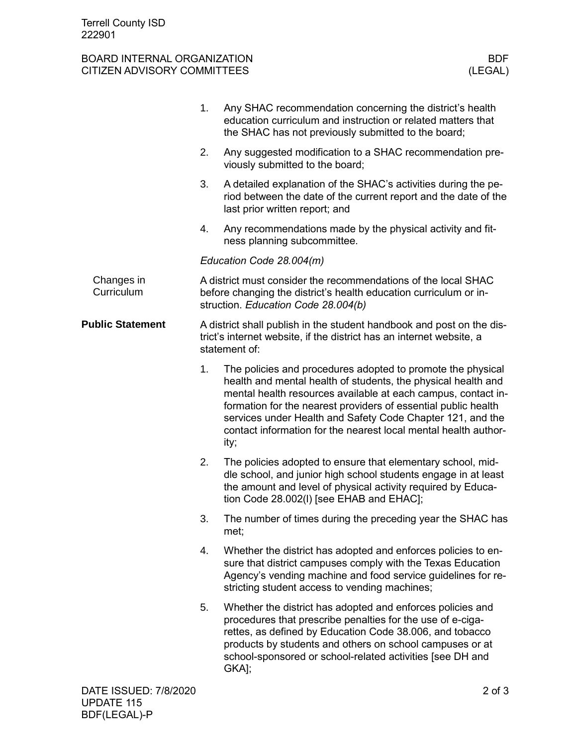## BOARD INTERNAL ORGANIZATION BOARD INTERNAL ORGANIZATION<br>CITIZEN ADVISORY COMMITTEES CITIZEN ADVISORY COMMITTEES

|                          | 1.                                                                                                                                                                         | Any SHAC recommendation concerning the district's health<br>education curriculum and instruction or related matters that<br>the SHAC has not previously submitted to the board;                                                                                                                                                                                                                          |  |  |
|--------------------------|----------------------------------------------------------------------------------------------------------------------------------------------------------------------------|----------------------------------------------------------------------------------------------------------------------------------------------------------------------------------------------------------------------------------------------------------------------------------------------------------------------------------------------------------------------------------------------------------|--|--|
|                          | 2.                                                                                                                                                                         | Any suggested modification to a SHAC recommendation pre-<br>viously submitted to the board;                                                                                                                                                                                                                                                                                                              |  |  |
|                          | 3.                                                                                                                                                                         | A detailed explanation of the SHAC's activities during the pe-<br>riod between the date of the current report and the date of the<br>last prior written report; and                                                                                                                                                                                                                                      |  |  |
|                          | 4.                                                                                                                                                                         | Any recommendations made by the physical activity and fit-<br>ness planning subcommittee.                                                                                                                                                                                                                                                                                                                |  |  |
|                          | Education Code 28.004(m)                                                                                                                                                   |                                                                                                                                                                                                                                                                                                                                                                                                          |  |  |
| Changes in<br>Curriculum | A district must consider the recommendations of the local SHAC<br>before changing the district's health education curriculum or in-<br>struction. Education Code 28.004(b) |                                                                                                                                                                                                                                                                                                                                                                                                          |  |  |
| <b>Public Statement</b>  | A district shall publish in the student handbook and post on the dis-<br>trict's internet website, if the district has an internet website, a<br>statement of:             |                                                                                                                                                                                                                                                                                                                                                                                                          |  |  |
|                          | 1.                                                                                                                                                                         | The policies and procedures adopted to promote the physical<br>health and mental health of students, the physical health and<br>mental health resources available at each campus, contact in-<br>formation for the nearest providers of essential public health<br>services under Health and Safety Code Chapter 121, and the<br>contact information for the nearest local mental health author-<br>ity; |  |  |
|                          | 2.                                                                                                                                                                         | The policies adopted to ensure that elementary school, mid-<br>dle school, and junior high school students engage in at least<br>the amount and level of physical activity required by Educa-<br>tion Code 28.002(I) [see EHAB and EHAC];                                                                                                                                                                |  |  |
|                          | 3.                                                                                                                                                                         | The number of times during the preceding year the SHAC has<br>met;                                                                                                                                                                                                                                                                                                                                       |  |  |
|                          | 4.                                                                                                                                                                         | Whether the district has adopted and enforces policies to en-<br>sure that district campuses comply with the Texas Education<br>Agency's vending machine and food service guidelines for re-<br>stricting student access to vending machines;                                                                                                                                                            |  |  |
|                          | 5.                                                                                                                                                                         | Whether the district has adopted and enforces policies and<br>procedures that prescribe penalties for the use of e-ciga-<br>rettes, as defined by Education Code 38.006, and tobacco<br>products by students and others on school campuses or at<br>school-sponsored or school-related activities [see DH and<br>GKA];                                                                                   |  |  |